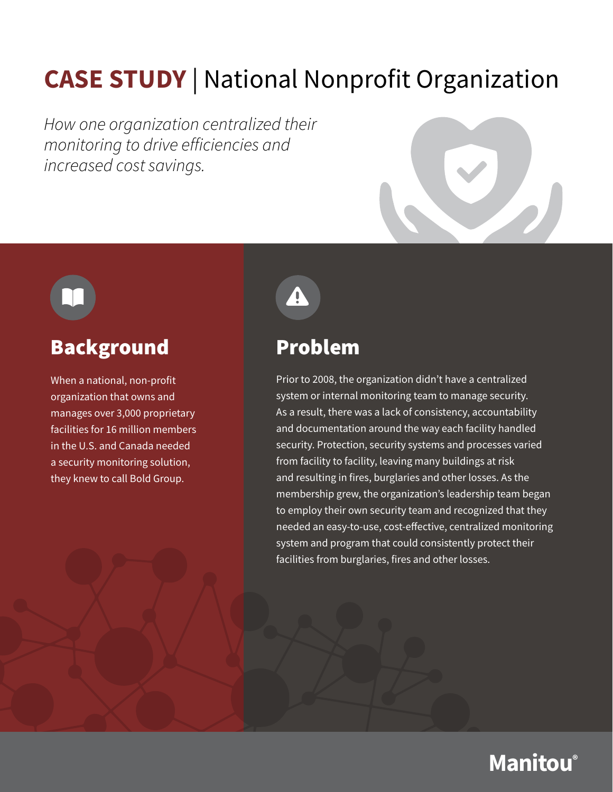## **CASE STUDY** | National Nonprofit Organization

How one organization centralized their monitoring to drive efficiencies and increased cost savings.





### Background

When a national, non-profit organization that owns and manages over 3,000 proprietary facilities for 16 million members in the U.S. and Canada needed a security monitoring solution, they knew to call Bold Group.



#### Problem

Prior to 2008, the organization didn't have a centralized system or internal monitoring team to manage security. As a result, there was a lack of consistency, accountability and documentation around the way each facility handled security. Protection, security systems and processes varied from facility to facility, leaving many buildings at risk and resulting in fires, burglaries and other losses. As the membership grew, the organization's leadership team began to employ their own security team and recognized that they needed an easy-to-use, cost-effective, centralized monitoring system and program that could consistently protect their facilities from burglaries, fires and other losses.